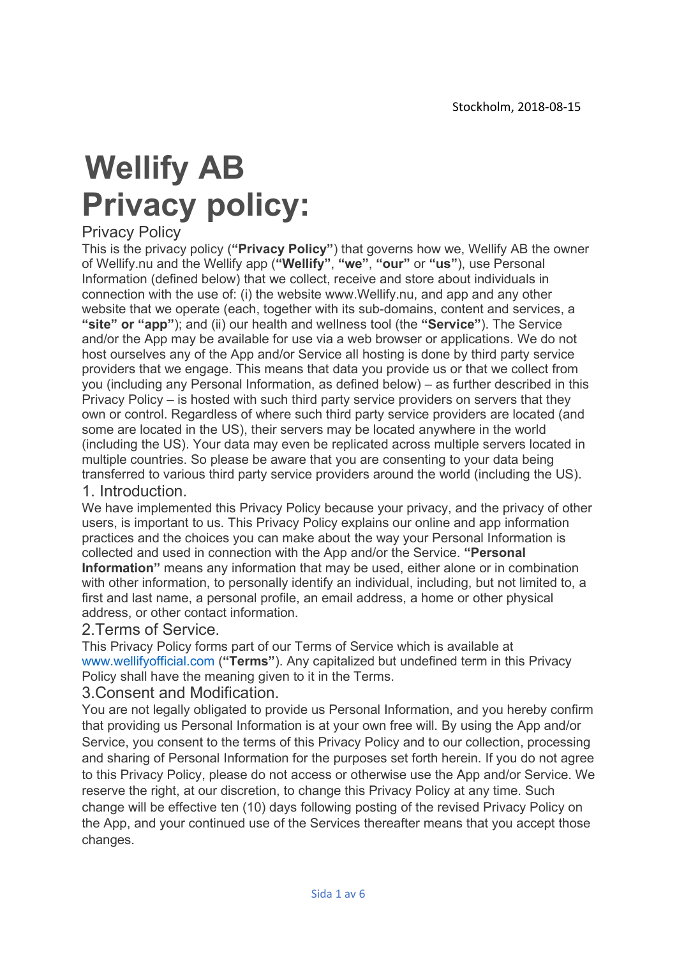# Wellify AB Privacy policy:

# Privacy Policy

This is the privacy policy ("Privacy Policy") that governs how we, Wellify AB the owner of Wellify.nu and the Wellify app ("Wellify", "we", "our" or "us"), use Personal Information (defined below) that we collect, receive and store about individuals in connection with the use of: (i) the website www.Wellify.nu, and app and any other website that we operate (each, together with its sub-domains, content and services, a "site" or "app"); and (ii) our health and wellness tool (the "Service"). The Service and/or the App may be available for use via a web browser or applications. We do not host ourselves any of the App and/or Service all hosting is done by third party service providers that we engage. This means that data you provide us or that we collect from you (including any Personal Information, as defined below) – as further described in this Privacy Policy – is hosted with such third party service providers on servers that they own or control. Regardless of where such third party service providers are located (and some are located in the US), their servers may be located anywhere in the world (including the US). Your data may even be replicated across multiple servers located in multiple countries. So please be aware that you are consenting to your data being transferred to various third party service providers around the world (including the US).

#### 1. Introduction.

We have implemented this Privacy Policy because your privacy, and the privacy of other users, is important to us. This Privacy Policy explains our online and app information practices and the choices you can make about the way your Personal Information is collected and used in connection with the App and/or the Service. "Personal Information" means any information that may be used, either alone or in combination with other information, to personally identify an individual, including, but not limited to, a first and last name, a personal profile, an email address, a home or other physical address, or other contact information.

#### 2.Terms of Service.

This Privacy Policy forms part of our Terms of Service which is available at www.wellifyofficial.com ("Terms"). Any capitalized but undefined term in this Privacy Policy shall have the meaning given to it in the Terms.

#### 3.Consent and Modification.

You are not legally obligated to provide us Personal Information, and you hereby confirm that providing us Personal Information is at your own free will. By using the App and/or Service, you consent to the terms of this Privacy Policy and to our collection, processing and sharing of Personal Information for the purposes set forth herein. If you do not agree to this Privacy Policy, please do not access or otherwise use the App and/or Service. We reserve the right, at our discretion, to change this Privacy Policy at any time. Such change will be effective ten (10) days following posting of the revised Privacy Policy on the App, and your continued use of the Services thereafter means that you accept those changes.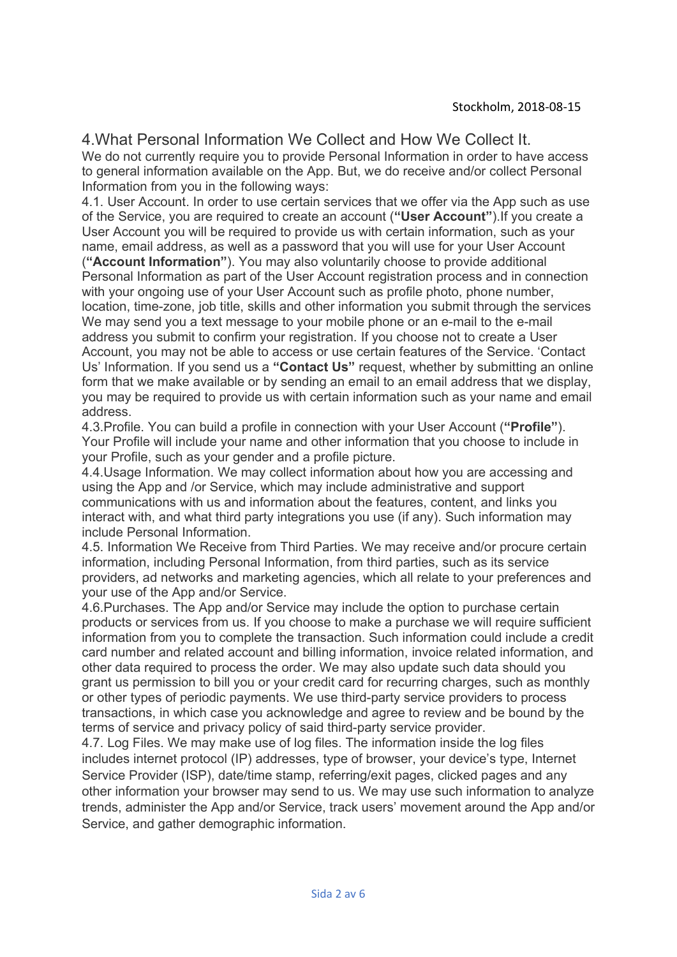#### Stockholm, 2018-08-15

## 4.What Personal Information We Collect and How We Collect It.

We do not currently require you to provide Personal Information in order to have access to general information available on the App. But, we do receive and/or collect Personal Information from you in the following ways:

4.1. User Account. In order to use certain services that we offer via the App such as use of the Service, you are required to create an account ("User Account").If you create a User Account you will be required to provide us with certain information, such as your name, email address, as well as a password that you will use for your User Account

("Account Information"). You may also voluntarily choose to provide additional Personal Information as part of the User Account registration process and in connection with your ongoing use of your User Account such as profile photo, phone number, location, time-zone, job title, skills and other information you submit through the services We may send you a text message to your mobile phone or an e-mail to the e-mail address you submit to confirm your registration. If you choose not to create a User Account, you may not be able to access or use certain features of the Service. 'Contact Us' Information. If you send us a "Contact Us" request, whether by submitting an online form that we make available or by sending an email to an email address that we display, you may be required to provide us with certain information such as your name and email address.

4.3.Profile. You can build a profile in connection with your User Account ("Profile"). Your Profile will include your name and other information that you choose to include in your Profile, such as your gender and a profile picture.

4.4.Usage Information. We may collect information about how you are accessing and using the App and /or Service, which may include administrative and support communications with us and information about the features, content, and links you interact with, and what third party integrations you use (if any). Such information may include Personal Information.

4.5. Information We Receive from Third Parties. We may receive and/or procure certain information, including Personal Information, from third parties, such as its service providers, ad networks and marketing agencies, which all relate to your preferences and your use of the App and/or Service.

4.6.Purchases. The App and/or Service may include the option to purchase certain products or services from us. If you choose to make a purchase we will require sufficient information from you to complete the transaction. Such information could include a credit card number and related account and billing information, invoice related information, and other data required to process the order. We may also update such data should you grant us permission to bill you or your credit card for recurring charges, such as monthly or other types of periodic payments. We use third-party service providers to process transactions, in which case you acknowledge and agree to review and be bound by the terms of service and privacy policy of said third-party service provider.

4.7. Log Files. We may make use of log files. The information inside the log files includes internet protocol (IP) addresses, type of browser, your device's type, Internet Service Provider (ISP), date/time stamp, referring/exit pages, clicked pages and any other information your browser may send to us. We may use such information to analyze trends, administer the App and/or Service, track users' movement around the App and/or Service, and gather demographic information.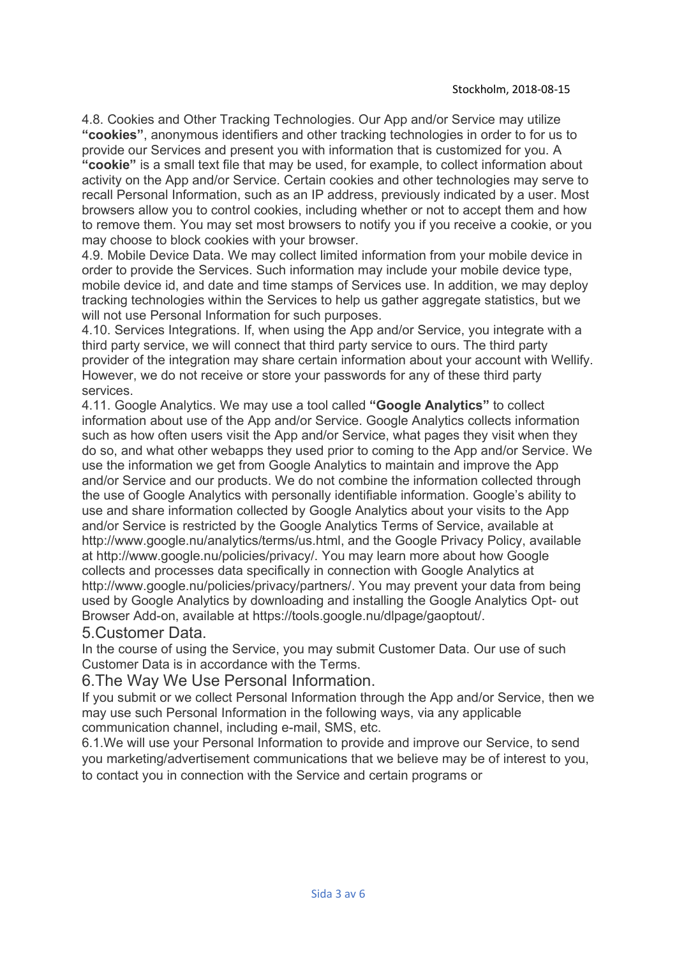4.8. Cookies and Other Tracking Technologies. Our App and/or Service may utilize "cookies", anonymous identifiers and other tracking technologies in order to for us to provide our Services and present you with information that is customized for you. A "cookie" is a small text file that may be used, for example, to collect information about activity on the App and/or Service. Certain cookies and other technologies may serve to recall Personal Information, such as an IP address, previously indicated by a user. Most browsers allow you to control cookies, including whether or not to accept them and how to remove them. You may set most browsers to notify you if you receive a cookie, or you may choose to block cookies with your browser.

4.9. Mobile Device Data. We may collect limited information from your mobile device in order to provide the Services. Such information may include your mobile device type, mobile device id, and date and time stamps of Services use. In addition, we may deploy tracking technologies within the Services to help us gather aggregate statistics, but we will not use Personal Information for such purposes.

4.10. Services Integrations. If, when using the App and/or Service, you integrate with a third party service, we will connect that third party service to ours. The third party provider of the integration may share certain information about your account with Wellify. However, we do not receive or store your passwords for any of these third party services.

4.11. Google Analytics. We may use a tool called "Google Analytics" to collect information about use of the App and/or Service. Google Analytics collects information such as how often users visit the App and/or Service, what pages they visit when they do so, and what other webapps they used prior to coming to the App and/or Service. We use the information we get from Google Analytics to maintain and improve the App and/or Service and our products. We do not combine the information collected through the use of Google Analytics with personally identifiable information. Google's ability to use and share information collected by Google Analytics about your visits to the App and/or Service is restricted by the Google Analytics Terms of Service, available at http://www.google.nu/analytics/terms/us.html, and the Google Privacy Policy, available at http://www.google.nu/policies/privacy/. You may learn more about how Google collects and processes data specifically in connection with Google Analytics at http://www.google.nu/policies/privacy/partners/. You may prevent your data from being used by Google Analytics by downloading and installing the Google Analytics Opt- out Browser Add-on, available at https://tools.google.nu/dlpage/gaoptout/.

#### 5.Customer Data.

In the course of using the Service, you may submit Customer Data. Our use of such Customer Data is in accordance with the Terms.

6.The Way We Use Personal Information.

If you submit or we collect Personal Information through the App and/or Service, then we may use such Personal Information in the following ways, via any applicable communication channel, including e-mail, SMS, etc.

6.1.We will use your Personal Information to provide and improve our Service, to send you marketing/advertisement communications that we believe may be of interest to you, to contact you in connection with the Service and certain programs or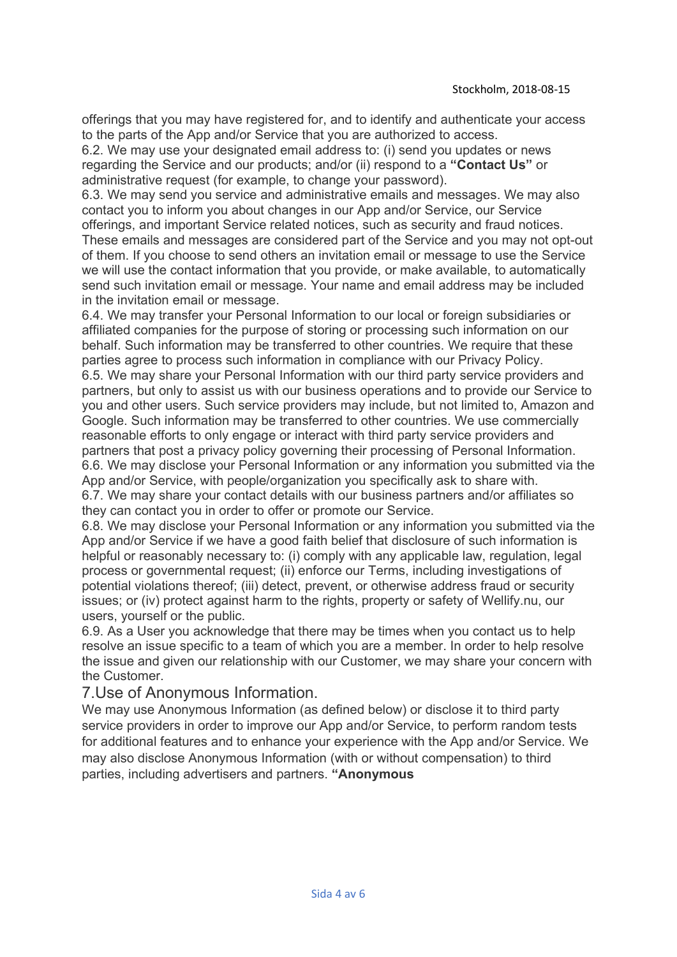offerings that you may have registered for, and to identify and authenticate your access to the parts of the App and/or Service that you are authorized to access.

6.2. We may use your designated email address to: (i) send you updates or news regarding the Service and our products; and/or (ii) respond to a "Contact Us" or administrative request (for example, to change your password).

6.3. We may send you service and administrative emails and messages. We may also contact you to inform you about changes in our App and/or Service, our Service offerings, and important Service related notices, such as security and fraud notices.

These emails and messages are considered part of the Service and you may not opt-out of them. If you choose to send others an invitation email or message to use the Service we will use the contact information that you provide, or make available, to automatically send such invitation email or message. Your name and email address may be included in the invitation email or message.

6.4. We may transfer your Personal Information to our local or foreign subsidiaries or affiliated companies for the purpose of storing or processing such information on our behalf. Such information may be transferred to other countries. We require that these parties agree to process such information in compliance with our Privacy Policy. 6.5. We may share your Personal Information with our third party service providers and partners, but only to assist us with our business operations and to provide our Service to you and other users. Such service providers may include, but not limited to, Amazon and Google. Such information may be transferred to other countries. We use commercially reasonable efforts to only engage or interact with third party service providers and partners that post a privacy policy governing their processing of Personal Information. 6.6. We may disclose your Personal Information or any information you submitted via the App and/or Service, with people/organization you specifically ask to share with. 6.7. We may share your contact details with our business partners and/or affiliates so

they can contact you in order to offer or promote our Service.

6.8. We may disclose your Personal Information or any information you submitted via the App and/or Service if we have a good faith belief that disclosure of such information is helpful or reasonably necessary to: (i) comply with any applicable law, regulation, legal process or governmental request; (ii) enforce our Terms, including investigations of potential violations thereof; (iii) detect, prevent, or otherwise address fraud or security issues; or (iv) protect against harm to the rights, property or safety of Wellify.nu, our users, yourself or the public.

6.9. As a User you acknowledge that there may be times when you contact us to help resolve an issue specific to a team of which you are a member. In order to help resolve the issue and given our relationship with our Customer, we may share your concern with the Customer.

# 7.Use of Anonymous Information.

We may use Anonymous Information (as defined below) or disclose it to third party service providers in order to improve our App and/or Service, to perform random tests for additional features and to enhance your experience with the App and/or Service. We may also disclose Anonymous Information (with or without compensation) to third parties, including advertisers and partners. "Anonymous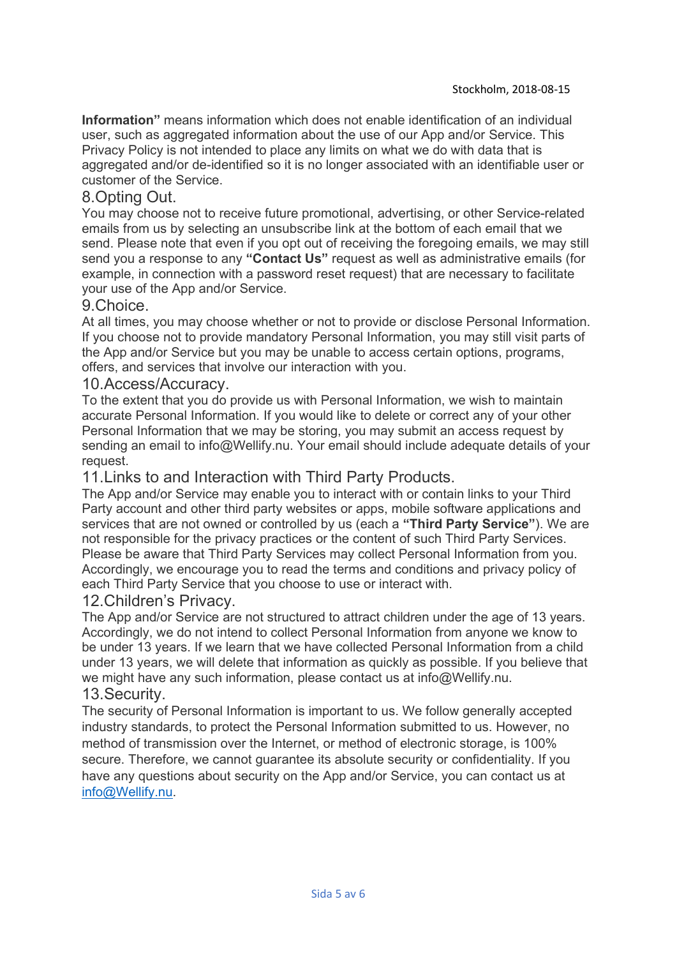Information" means information which does not enable identification of an individual user, such as aggregated information about the use of our App and/or Service. This Privacy Policy is not intended to place any limits on what we do with data that is aggregated and/or de-identified so it is no longer associated with an identifiable user or customer of the Service.

# 8.Opting Out.

You may choose not to receive future promotional, advertising, or other Service-related emails from us by selecting an unsubscribe link at the bottom of each email that we send. Please note that even if you opt out of receiving the foregoing emails, we may still send you a response to any "Contact Us" request as well as administrative emails (for example, in connection with a password reset request) that are necessary to facilitate your use of the App and/or Service.

## 9.Choice.

At all times, you may choose whether or not to provide or disclose Personal Information. If you choose not to provide mandatory Personal Information, you may still visit parts of the App and/or Service but you may be unable to access certain options, programs, offers, and services that involve our interaction with you.

#### 10.Access/Accuracy.

To the extent that you do provide us with Personal Information, we wish to maintain accurate Personal Information. If you would like to delete or correct any of your other Personal Information that we may be storing, you may submit an access request by sending an email to info@Wellify.nu. Your email should include adequate details of your request.

## 11.Links to and Interaction with Third Party Products.

The App and/or Service may enable you to interact with or contain links to your Third Party account and other third party websites or apps, mobile software applications and services that are not owned or controlled by us (each a "Third Party Service"). We are not responsible for the privacy practices or the content of such Third Party Services. Please be aware that Third Party Services may collect Personal Information from you. Accordingly, we encourage you to read the terms and conditions and privacy policy of each Third Party Service that you choose to use or interact with.

#### 12.Children's Privacy.

The App and/or Service are not structured to attract children under the age of 13 years. Accordingly, we do not intend to collect Personal Information from anyone we know to be under 13 years. If we learn that we have collected Personal Information from a child under 13 years, we will delete that information as quickly as possible. If you believe that we might have any such information, please contact us at info@Wellify.nu.

# 13.Security.

The security of Personal Information is important to us. We follow generally accepted industry standards, to protect the Personal Information submitted to us. However, no method of transmission over the Internet, or method of electronic storage, is 100% secure. Therefore, we cannot guarantee its absolute security or confidentiality. If you have any questions about security on the App and/or Service, you can contact us at info@Wellify.nu.